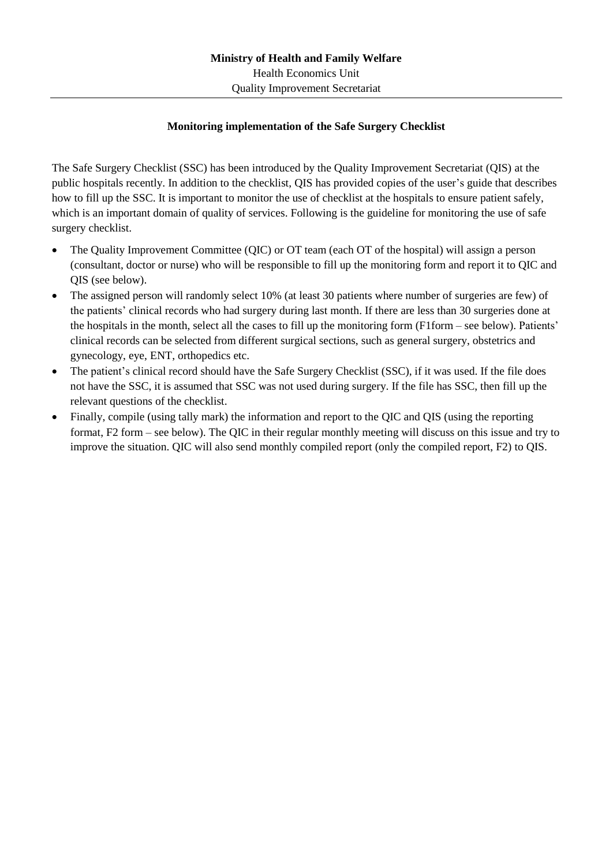## **Monitoring implementation of the Safe Surgery Checklist**

The Safe Surgery Checklist (SSC) has been introduced by the Quality Improvement Secretariat (QIS) at the public hospitals recently. In addition to the checklist, QIS has provided copies of the user's guide that describes how to fill up the SSC. It is important to monitor the use of checklist at the hospitals to ensure patient safely, which is an important domain of quality of services. Following is the guideline for monitoring the use of safe surgery checklist.

- The Quality Improvement Committee (QIC) or OT team (each OT of the hospital) will assign a person (consultant, doctor or nurse) who will be responsible to fill up the monitoring form and report it to QIC and QIS (see below).
- The assigned person will randomly select 10% (at least 30 patients where number of surgeries are few) of the patients' clinical records who had surgery during last month. If there are less than 30 surgeries done at the hospitals in the month, select all the cases to fill up the monitoring form (F1form – see below). Patients' clinical records can be selected from different surgical sections, such as general surgery, obstetrics and gynecology, eye, ENT, orthopedics etc.
- The patient's clinical record should have the Safe Surgery Checklist (SSC), if it was used. If the file does not have the SSC, it is assumed that SSC was not used during surgery. If the file has SSC, then fill up the relevant questions of the checklist.
- Finally, compile (using tally mark) the information and report to the QIC and QIS (using the reporting format, F2 form – see below). The QIC in their regular monthly meeting will discuss on this issue and try to improve the situation. QIC will also send monthly compiled report (only the compiled report, F2) to QIS.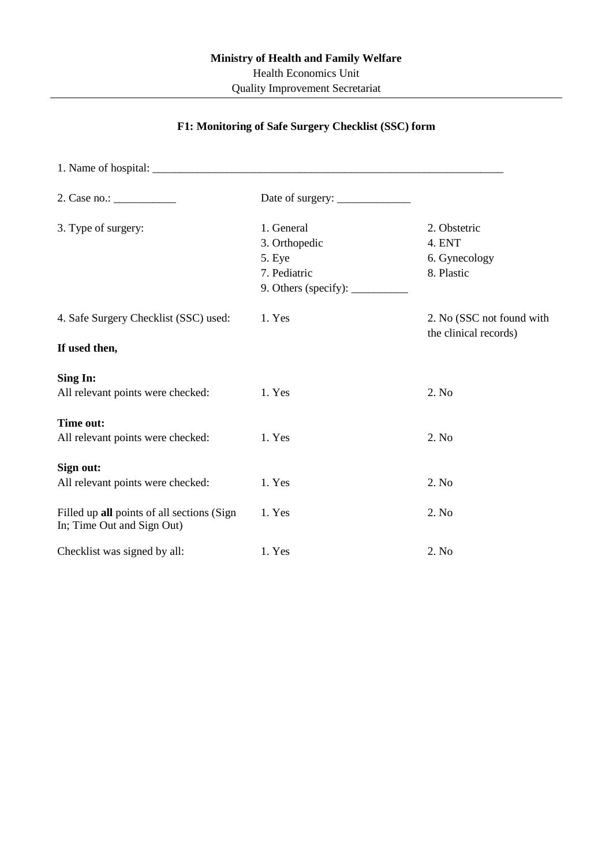## **F1: Monitoring of Safe Surgery Checklist (SSC) form**

| 2. Case no.:                                                             |                             |                                                    |  |  |
|--------------------------------------------------------------------------|-----------------------------|----------------------------------------------------|--|--|
| 3. Type of surgery:                                                      | 1. General                  | 2. Obstetric                                       |  |  |
|                                                                          | 3. Orthopedic               | 4. ENT                                             |  |  |
|                                                                          | 5. Eye                      | 6. Gynecology                                      |  |  |
|                                                                          | 7. Pediatric                | 8. Plastic                                         |  |  |
|                                                                          | 9. Others (specify): $\_\_$ |                                                    |  |  |
| 4. Safe Surgery Checklist (SSC) used:                                    | 1. Yes                      | 2. No (SSC not found with<br>the clinical records) |  |  |
| If used then,                                                            |                             |                                                    |  |  |
| Sing In:                                                                 |                             |                                                    |  |  |
| All relevant points were checked:                                        | 1. Yes                      | 2. No                                              |  |  |
| Time out:                                                                |                             |                                                    |  |  |
| All relevant points were checked:                                        | 1. Yes                      | 2. No                                              |  |  |
| Sign out:                                                                |                             |                                                    |  |  |
| All relevant points were checked:                                        | 1. Yes                      | 2. No                                              |  |  |
| Filled up all points of all sections (Sign<br>In; Time Out and Sign Out) | 1. Yes                      | 2. No                                              |  |  |
| Checklist was signed by all:                                             | 1. Yes                      | 2. No                                              |  |  |